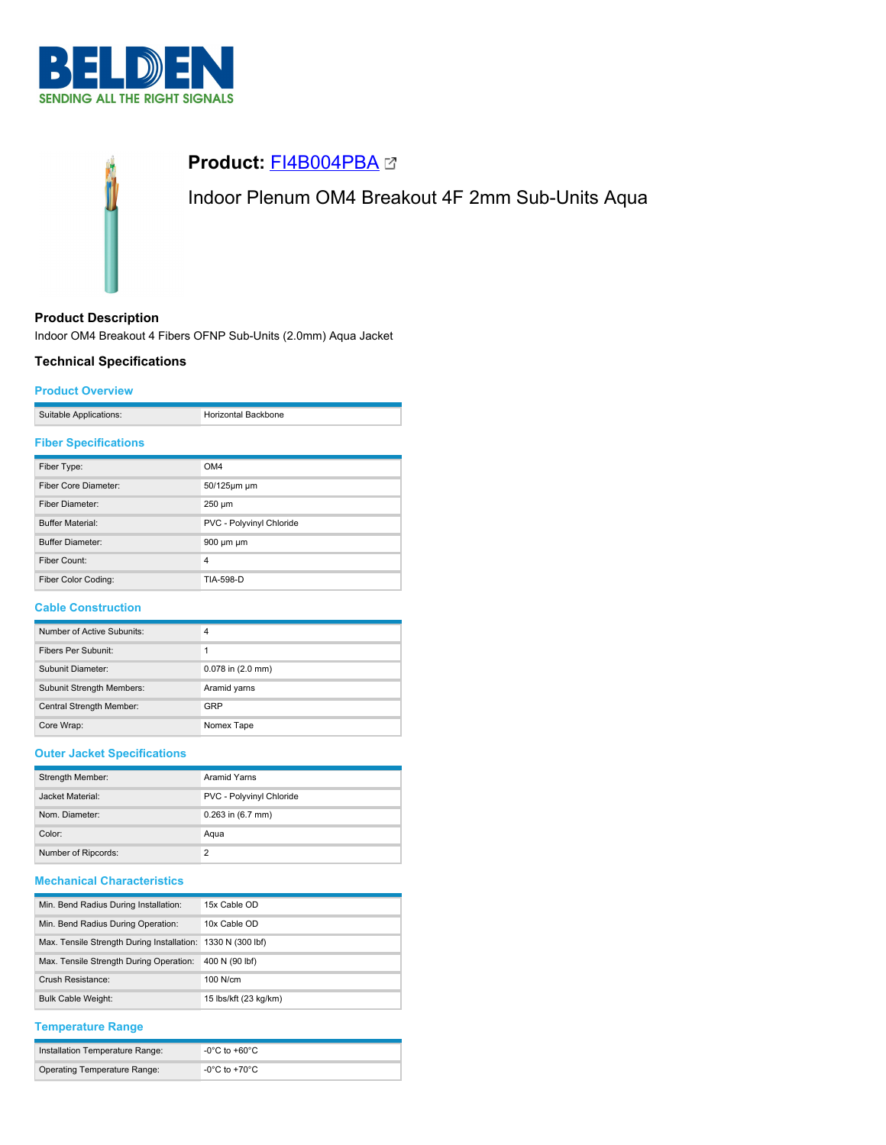



## **Product Description**

Indoor OM4 Breakout 4 Fibers OFNP Sub-Units (2.0mm) Aqua Jacket

## **Technical Specifications**

### **Product Overview**

| Suitable Applications: | Horizontal Backbone |
|------------------------|---------------------|

## **Fiber Specifications**

| Fiber Type:             | OM4                      |
|-------------------------|--------------------------|
| Fiber Core Diameter:    | 50/125um um              |
| Fiber Diameter:         | 250 µm                   |
| <b>Buffer Material:</b> | PVC - Polyvinyl Chloride |
| <b>Buffer Diameter:</b> | 900 um um                |
| Fiber Count:            | 4                        |
| Fiber Color Coding:     | TIA-598-D                |

## **Cable Construction**

| Number of Active Subunits:       | 4                     |
|----------------------------------|-----------------------|
| Fibers Per Subunit:              |                       |
| Subunit Diameter:                | $0.078$ in $(2.0$ mm) |
| <b>Subunit Strength Members:</b> | Aramid yarns          |
| Central Strength Member:         | GRP                   |
| Core Wrap:                       | Nomex Tape            |

## **Outer Jacket Specifications**

| Strength Member:    | Aramid Yarns             |  |
|---------------------|--------------------------|--|
| Jacket Material:    | PVC - Polyvinyl Chloride |  |
| Nom. Diameter:      | $0.263$ in $(6.7$ mm)    |  |
| Color:              | Aqua                     |  |
| Number of Ripcords: | っ                        |  |

# **Mechanical Characteristics**

| Min. Bend Radius During Installation:                       | 15x Cable OD          |
|-------------------------------------------------------------|-----------------------|
| Min. Bend Radius During Operation:                          | 10x Cable OD          |
| Max. Tensile Strength During Installation: 1330 N (300 lbf) |                       |
| Max. Tensile Strength During Operation:                     | 400 N (90 lbf)        |
| Crush Resistance:                                           | $100$ N/cm            |
| <b>Bulk Cable Weight:</b>                                   | 15 lbs/kft (23 kg/km) |

## **Temperature Range**

| Installation Temperature Range: | -0°C to +60°C |
|---------------------------------|---------------|
| Operating Temperature Range:    | -0°C to +70°C |